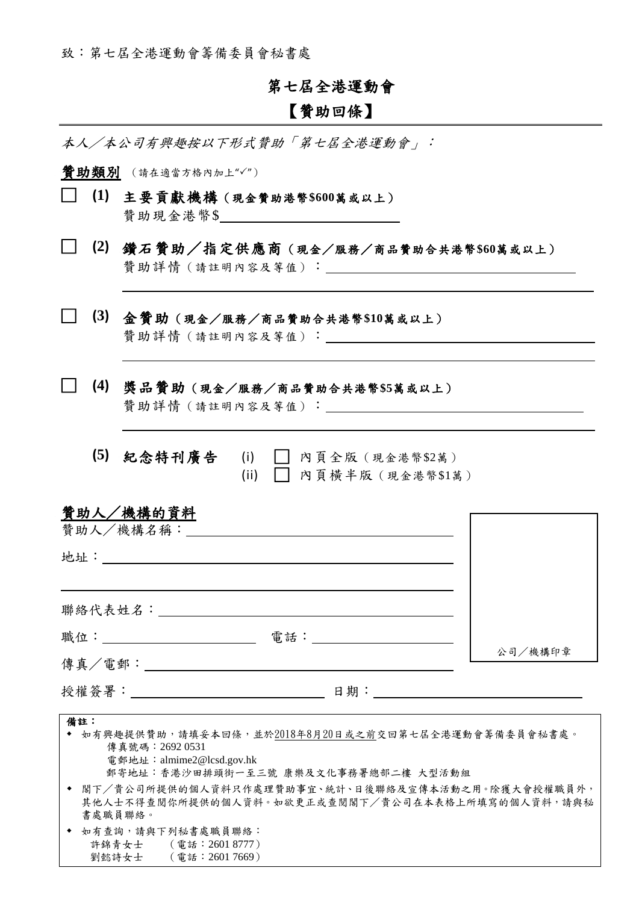致:第七屆全港運動會籌備委員會秘書處

## 第七屆全港運動會

## 【贊助回條】

本人/本公司有興趣按以下形式贊助「第七屆全港運動會」:

管助類別 (請在適當方格內加上"√")

 $\overline{a}$ 

 $\overline{a}$ 

 $\overline{a}$ 

- □ **(1)** 主要貢獻機構(現金贊助港幣**\$600**萬或以上) 贊助現金港幣\$
- □ **(2)** 鑽石贊助/指定供應商(現金/服務/商品贊助合共港幣**\$60**萬或以上) 贊助詳情(請註明內容及等值):

□ **(3)** 金贊助(現金/服務/商品贊助合共港幣**\$10**萬或以上) 贊助詳情(請註明內容及等值):

□ **(4)** 獎品贊助(現金/服務/商品贊助合共港幣**\$5**萬或以上)

贊助詳情(請註明內容及等值):

 **(5)** 紀念特刊廣告 (i) □ 內頁全版(現金港幣\$2萬) (ii) □ 內頁橫半版(現金港幣\$1萬)

| 贊助人/機構的資料<br>贊助人/機構名稱: |     |         |
|------------------------|-----|---------|
| 地址:                    |     |         |
| 聯絡代表姓名:                |     |         |
| 職位: 我们                 | 電話: | 公司/機構印章 |
| 傳真/電郵:______           |     |         |

授權簽署: 日期: 日期:

|           | 備註:                                                 |  |  |  |  |
|-----------|-----------------------------------------------------|--|--|--|--|
| $\bullet$ | 如有興趣提供贊助,請填妥本回條,並於2018年8月20日或之前交回第七屆全港運動會籌備委員會秘書處。  |  |  |  |  |
|           | 傳真號碼:26920531                                       |  |  |  |  |
|           | 電郵地址: almime2@lcsd.gov.hk                           |  |  |  |  |
|           | 郵寄地址:香港沙田排頭街一至三號 康樂及文化事務署總部二樓 大型活動組                 |  |  |  |  |
|           | ◆ 閣下/貴公司所提供的個人資料只作處理贊助事宜、統計、日後聯絡及宣傳本活動之用。除獲大會授權職員外, |  |  |  |  |
|           | 其他人士不得查閲你所提供的個人資料。如欲更正或查閲閣下/貴公司在本表格上所填寫的個人資料,請與秘    |  |  |  |  |
|           | 書處職員聯絡。                                             |  |  |  |  |
|           | ◆ 如有查詢,請與下列秘書處職員聯絡:                                 |  |  |  |  |

 許錦青女士 (電話:2601 8777) 劉懿詩女士 (電話:2601 7669)